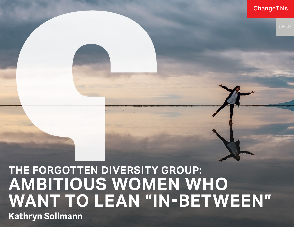## **ChangeThis**

## **THE FORGOTTEN DIVERSITY GROUP: AMBITIOUS WOMEN WHO WANT TO LEAN "IN-BETWEEN" Kathryn Sollmann**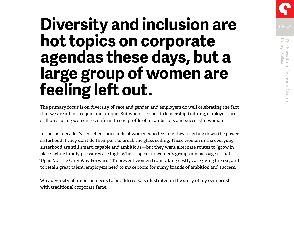# **Diversity and inclusion are hot topics on corporate agendas these days, but a large group of women are feeling left out.**

The primary focus is on diversity of race and gender, and employers do well celebrating the fact that we are all both equal and unique. But when it comes to leadership training, employers are still pressuring women to conform to one profile of an ambitious and successful woman.

In the last decade I've coached thousands of women who feel like they're letting down the power sisterhood if they don't do their part to break the glass ceiling. These women in the everyday sisterhood are still smart, capable and ambitious—but they want alternate routes to "grow in place" while family pressures are high. When I speak to women's groups my message is that "Up is Not the Only Way Forward." To prevent women from taking costly caregiving breaks, and to retain great talent, employers need to make room for many brands of ambition and success.

Why diversity of ambition needs to be addressed is illustrated in the story of my own brush with traditional corporate fame.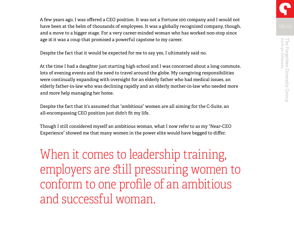A few years ago, I was offered a CEO position. It was not a Fortune 100 company and I would not have been at the helm of thousands of employees. It was a globally recognized company, though, and a move to a bigger stage. For a very career-minded woman who has worked non-stop since age 16 it was a coup that promised a powerful capstone to my career.

Despite the fact that it would be expected for me to say yes, I ultimately said no.

At the time I had a daughter just starting high school and I was concerned about a long commute, lots of evening events and the need to travel around the globe. My caregiving responsibilities were continually expanding with oversight for an elderly father who had medical issues, an elderly father-in-law who was declining rapidly and an elderly mother-in-law who needed more and more help managing her home.

Despite the fact that it's assumed that "ambitious" women are all aiming for the C-Suite, an all-encompassing CEO position just didn't fit my life.

Though I still considered myself an ambitious woman, what I now refer to as my "Near-CEO Experience" showed me that many women in the power elite would have begged to differ.

When it comes to leadership training, employers are still pressuring women to conform to one profile of an ambitious and successful woman.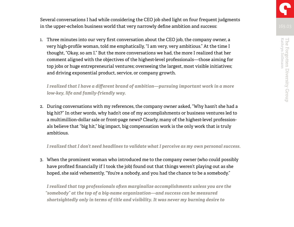Several conversations I had while considering the CEO job shed light on four frequent judgments in the upper-echelon business world that very narrowly define ambition and success:

1. Three minutes into our very first conversation about the CEO job, the company owner, a very high-profile woman, told me emphatically, "I am very, very ambitious." At the time I thought, "Okay, so am I." But the more conversations we had, the more I realized that her comment aligned with the objectives of the highest-level professionals—those aiming for top jobs or huge entrepreneurial ventures; overseeing the largest, most visible initiatives; and driving exponential product, service, or company growth.

*I realized that I have a different brand of ambition—pursuing important work in a more low-key, life and family-friendly way.*

2. During conversations with my references, the company owner asked, "Why hasn't she had a big hit?" In other words, why hadn't one of my accomplishments or business ventures led to a multimillion-dollar sale or front-page news? Clearly, many of the highest-level professionals believe that "big hit," big impact, big compensation work is the only work that is truly ambitious.

*I realized that I don't need headlines to validate what I perceive as my own personal success.*

3. When the prominent woman who introduced me to the company owner (who could possibly have profited financially if I took the job) found out that things weren't playing out as she hoped, she said vehemently, "You're a nobody, and you had the chance to be a somebody."

*I realized that top professionals often marginalize accomplishments unless you are the "somebody" at the top of a big-name organization—and success can be measured shortsightedly only in terms of title and visibility. It was never my burning desire to*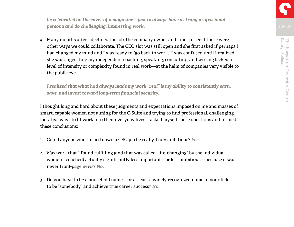*be celebrated on the cover of a magazine—just to always have a strong professional persona and do challenging, interesting work.*

4. Many months after I declined the job, the company owner and I met to see if there were other ways we could collaborate. The CEO slot was still open and she first asked if perhaps I had changed my mind and I was ready to "go back to work." I was confused until I realized she was suggesting my independent coaching, speaking, consulting, and writing lacked a level of intensity or complexity found in real work—at the helm of companies very visible to the public eye.

*I realized that what had always made my work "real" is my ability to consistently earn, save, and invest toward long-term financial security.*

I thought long and hard about these judgments and expectations imposed on me and masses of smart, capable women not aiming for the C-Suite and trying to find professional, challenging, lucrative ways to fit work into their everyday lives. I asked myself these questions and formed these conclusions:

- 1. Could anyone who turned down a CEO job be really, truly ambitious? *Yes.*
- 2. Was work that I found fulfilling (and that was called "life-changing" by the individual women I coached) actually significantly less important—or less ambitious—because it was never front-page news? *No.*
- 3. Do you have to be a household name—or at least a widely recognized name in your field to be "somebody" and achieve true career success? *No.*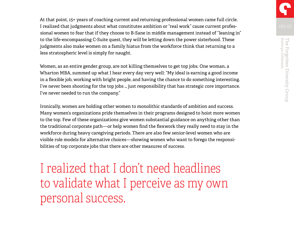At that point, 15+ years of coaching current and returning professional women came full circle. I realized that judgments about what constitutes ambition or "real work" cause current professional women to fear that if they choose to B-Sane in middle management instead of "leaning in" to the life-encompassing C-Suite quest, they will be letting down the power sisterhood. These judgments also make women on a family hiatus from the workforce think that returning to a less stratospheric level is simply for naught.

Women, as an entire gender group, are not killing themselves to get top jobs. One woman, a Wharton MBA, summed up what I hear every day very well: "My ideal is earning a good income in a flexible job, working with bright people, and having the chance to do something interesting. I've never been shooting for the top jobs … just responsibility that has strategic core importance. I've never needed to run the company."

Ironically, women are holding other women to monolithic standards of ambition and success. Many women's organizations pride themselves in their programs designed to hoist more women to the top. Few of these organizations give women substantial guidance on anything other than the traditional corporate path—or help women find the flexwork they really need to stay in the workforce during heavy caregiving periods. There are also few senior-level women who are visible role models for alternative choices—showing women who want to forego the responsibilities of top corporate jobs that there are other measures of success.

I realized that I don't need headlines to validate what I perceive as my own personal success.

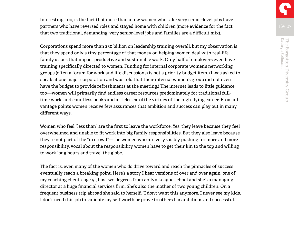Interesting, too, is the fact that more than a few women who take very senior-level jobs have partners who have reversed roles and stayed home with children (more evidence for the fact that two traditional, demanding, very senior-level jobs and families are a difficult mix).

Corporations spend more than \$30 billion on leadership training overall, but my observation is that they spend only a tiny percentage of that money on helping women deal with real-life family issues that impact productive and sustainable work. Only half of employers even have training specifically directed to women. Funding for internal corporate women's networking groups (often a forum for work and life discussions) is not a priority budget item. (I was asked to speak at one major corporation and was told that their internal women's group did not even have the budget to provide refreshments at the meeting.) The internet leads to little guidance, too—women will primarily find endless career resources predominately for traditional fulltime work, and countless books and articles extol the virtues of the high-flying career. From all vantage points women receive few assurances that ambition and success can play out in many different ways.

Women who feel "less than" are the first to leave the workforce. Yes, they leave because they feel overwhelmed and unable to fit work into big family responsibilities. But they also leave because they're not part of the "in crowd"—the women who are very visibly pushing for more and more responsibility, vocal about the responsibility women have to get their kin to the top and willing to work long hours and travel the globe.

The fact is, even many of the women who do drive toward and reach the pinnacles of success eventually reach a breaking point. Here's a story I hear versions of over and over again: one of my coaching clients, age 41, has two degrees from an Ivy League school and she's a managing director at a huge financial services firm. She's also the mother of two young children. On a frequent business trip abroad she said to herself, "I don't want this anymore. I never see my kids. I don't need this job to validate my self-worth or prove to others I'm ambitious and successful."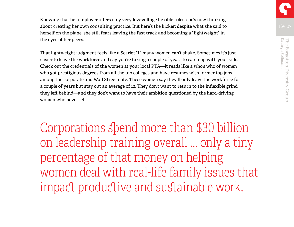Knowing that her employer offers only very low-voltage flexible roles, she's now thinking about creating her own consulting practice. But here's the kicker: despite what she said to herself on the plane, she still fears leaving the fast track and becoming a "lightweight" in the eyes of her peers.

That lightweight judgment feels like a Scarlet "L" many women can't shake. Sometimes it's just easier to leave the workforce and say you're taking a couple of years to catch up with your kids. Check out the credentials of the women at your local PTA—it reads like a who's who of women who got prestigious degrees from all the top colleges and have resumes with former top jobs among the corporate and Wall Street elite. These women say they'll only leave the workforce for a couple of years but stay out an average of 12. They don't want to return to the inflexible grind they left behind—and they don't want to have their ambition questioned by the hard-driving women who never left.

Corporations spend more than \$30 billion on leadership training overall … only a tiny percentage of that money on helping women deal with real-life family issues that impact productive and sustainable work.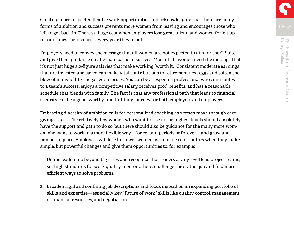Creating more respected flexible work opportunities and acknowledging that there are many forms of ambition and success prevents more women from leaving and encourages those who left to get back in. There's a huge cost when employers lose great talent, and women forfeit up to four times their salaries every year they're out.

Employers need to convey the message that all women are not expected to aim for the C-Suite, and give them guidance on alternate paths to success. Most of all, women need the message that it's not just huge six-figure salaries that make working "worth it." Consistent moderate earnings that are invested and saved can make vital contributions to retirement nest eggs and soften the blow of many of life's negative surprises. You can be a respected professional who contributes to a team's success, enjoys a competitive salary, receives good benefits, and has a reasonable schedule that blends with family. The fact is that any professional path that leads to financial security can be a good, worthy, and fulfilling journey for both employers and employees.

Embracing diversity of ambition calls for personalized coaching as women move through caregiving stages. The relatively few women who want to rise to the highest levels should absolutely have the support and path to do so, but there should also be guidance for the many more women who want to work in a more flexible way—for certain periods or forever—and grow and prosper in place. Employers will lose far fewer women as valuable contributors when they make simple, but powerful changes and give them opportunities to, for example:

- 1. Define leadership beyond big titles and recognize that leaders at any level lead project teams, set high standards for work quality, mentor others, challenge the status quo and find more efficient ways to solve problems.
- 2. Broaden rigid and confining job descriptions and focus instead on an expanding portfolio of skills and expertise—especially key "future of work" skills like quality control, management of financial resources, and negotiation.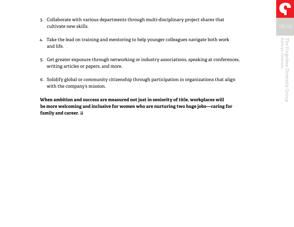- 3. Collaborate with various departments through multi-disciplinary project shares that cultivate new skills.
- 4. Take the lead on training and mentoring to help younger colleagues navigate both work and life.
- 5. Get greater exposure through networking or industry associations, speaking at conferences, writing articles or papers, and more.
- 6. Solidify global or community citizenship through participation in organizations that align with the company's mission.

**When ambition and success are measured not just in seniority of title, workplaces will be more welcoming and inclusive for women who are nurturing two huge jobs—caring for family and career.**